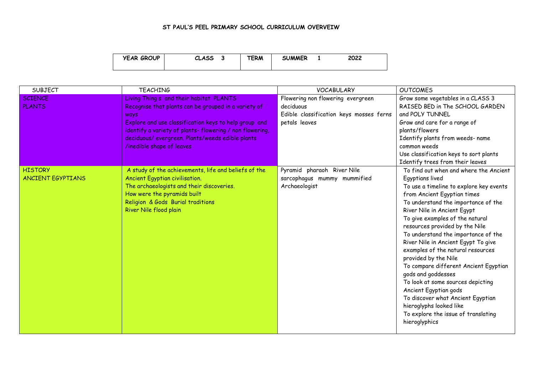## **ST PAUL'S PEEL PRIMARY SCHOOL CURRICULUM OVERVEIW**

| <b>YEAR GROUP</b> | <b>CLASS</b><br>w | TERM | <b>SUMMER</b> | 2022 |
|-------------------|-------------------|------|---------------|------|
|                   |                   |      |               |      |

| SUBJECT                  | <b>TEACHING</b>                                         | <b>VOCABULARY</b>                       | <b>OUTCOMES</b>                         |
|--------------------------|---------------------------------------------------------|-----------------------------------------|-----------------------------------------|
| <b>SCIENCE</b>           | Living Thing s and their habitat PLANTS                 | Flowering non flowering evergreen       | Grow some vegetables in a CLASS 3       |
| <b>PLANTS</b>            | Recognise that plants can be grouped in a variety of    | deciduous                               | RAISED BED in The SCHOOL GARDEN         |
|                          | <b>WAYS</b>                                             | Edible classification keys mosses ferns | and POLY TUNNEL                         |
|                          | Explore and use classification keys to help group and   | petals leaves                           | Grow and care for a range of            |
|                          | identify a variety of plants-flowering / non flowering, |                                         | plants/flowers                          |
|                          | deciduous/ evergreen. Plants/weeds edible plants        |                                         | Identify plants from weeds- name        |
|                          | /inedible shape of leaves                               |                                         | common weeds                            |
|                          |                                                         |                                         | Use classification keys to sort plants  |
|                          |                                                         |                                         | Identify trees from their leaves        |
| <b>HISTORY</b>           | A study of the achievements, life and beliefs of the    | Pyramid pharaoh River Nile              | To find out when and where the Ancient  |
| <b>ANCIENT EGYPTIANS</b> | Ancient Egyptian civilisation.                          | sarcophagus mummy mummified             | Egyptians lived                         |
|                          | The archaeologists and their discoveries.               | Archaeologist                           | To use a timeline to explore key events |
|                          | How were the pyramids built                             |                                         | from Ancient Egyptian times             |
|                          | Religion & Gods Burial traditions                       |                                         | To understand the importance of the     |
|                          | River Nile flood plain                                  |                                         | River Nile in Ancient Egypt             |
|                          |                                                         |                                         | To give examples of the natural         |
|                          |                                                         |                                         | resources provided by the Nile          |
|                          |                                                         |                                         | To understand the importance of the     |
|                          |                                                         |                                         | River Nile in Ancient Egypt To give     |
|                          |                                                         |                                         | examples of the natural resources       |
|                          |                                                         |                                         | provided by the Nile                    |
|                          |                                                         |                                         | To compare different Ancient Egyptian   |
|                          |                                                         |                                         | gods and goddesses                      |
|                          |                                                         |                                         | To look at some sources depicting       |
|                          |                                                         |                                         | Ancient Egyptian gods                   |
|                          |                                                         |                                         | To discover what Ancient Egyptian       |
|                          |                                                         |                                         | hieroglyphs looked like                 |
|                          |                                                         |                                         | To explore the issue of translating     |
|                          |                                                         |                                         | hieroglyphics                           |
|                          |                                                         |                                         |                                         |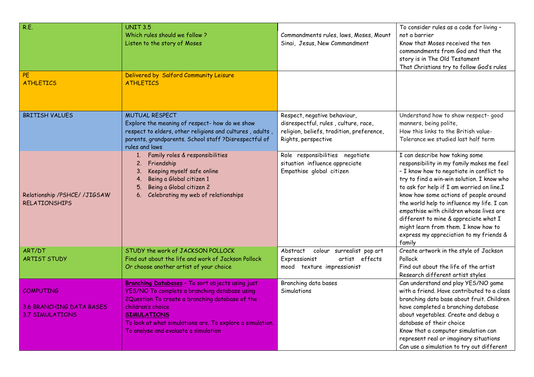| R.E.<br>PE<br><b>ATHLETICS</b>                                         | <b>UNIT 3.5</b><br>Which rules should we follow?<br>Listen to the story of Moses<br>Delivered by Salford Community Leisure<br><b>ATHLETICS</b>                                                                                                                                                       | Commandments rules, laws, Moses, Mount<br>Sinai, Jesus, New Commandment                                                                  | To consider rules as a code for living -<br>not a barrier<br>Know that Moses received the ten<br>commandments from God and that the<br>story is in The Old Testament<br>That Christians try to follow God's rules                                                                                                                                                                                                                                                                           |
|------------------------------------------------------------------------|------------------------------------------------------------------------------------------------------------------------------------------------------------------------------------------------------------------------------------------------------------------------------------------------------|------------------------------------------------------------------------------------------------------------------------------------------|---------------------------------------------------------------------------------------------------------------------------------------------------------------------------------------------------------------------------------------------------------------------------------------------------------------------------------------------------------------------------------------------------------------------------------------------------------------------------------------------|
| <b>BRITISH VALUES</b>                                                  | <b>MUTUAL RESPECT</b><br>Explore the meaning of respect- how do we show<br>respect to elders, other religions and cultures, adults,<br>parents, grandparents. School staff ?Disrespectful of<br>rules and laws                                                                                       | Respect, negative behaviour,<br>disrespectful, rules, culture, race,<br>religion, beliefs, tradition, preference,<br>Rights, perspective | Understand how to show respect-good<br>manners, being polite,<br>How this links to the British value-<br>Tolerance we studied last half term                                                                                                                                                                                                                                                                                                                                                |
| Relationship /PSHCE/ /JIGSAW<br><b>RELATIONSHIPS</b>                   | Family roles & responsibilities<br>2. Friendship<br>Keeping myself safe online<br>3.<br>Being a Global citizen 1<br>4.<br>Being a Global citizen 2<br>5.<br>Celebrating my web of relationships<br>6.                                                                                                | Role responsibilities negotiate<br>situation influence appreciate<br>Empathise global citizen                                            | I can describe how taking some<br>responsibility in my family makes me feel<br>- I know how to negotiate in conflict to<br>try to find a win-win solution. I know who<br>to ask for help if I am worried on line.I<br>know how some actions of people around<br>the world help to influence my life. I can<br>empathise with children whose lives are<br>different to mine & appreciate what I<br>might learn from them. I know how to<br>express my appreciation to my friends &<br>family |
| ART/DT<br><b>ARTIST STUDY</b>                                          | STUDY the work of JACKSON POLLOCK<br>Find out about the life and work of Jackson Pollock<br>Or choose another artist of your choice                                                                                                                                                                  | colour surrealist pop art<br>Abstract<br>artist effects<br>Expressionist<br>mood texture impressionist                                   | Create artwork in the style of Jackson<br>Pollock<br>Find out about the life of the artist<br>Research different artist styles                                                                                                                                                                                                                                                                                                                                                              |
| <b>COMPUTING</b><br>3.6 BRANCHING DATA BASES<br><b>3.7 SIMULATIONS</b> | Branching Databases - To sort objects using just<br>YES/NO To complets a branching database using<br>2Question To create a branching database of the<br>children's choice<br><b>SIMULATIONS</b><br>To look at what simulations are. To explore a simulation.<br>To analyse and evaluate a simulation | Branching data bases<br>Simulations                                                                                                      | Can understand and play YES/NO game<br>with a friend. Have contributed to a class<br>branching data base about fruit. Children<br>have completed a branching database<br>about vegetables. Create and debug a<br>database of their choice<br>Know that a computer simulation can<br>represent real or imaginary situations<br>Can use a simulation to try out different                                                                                                                     |